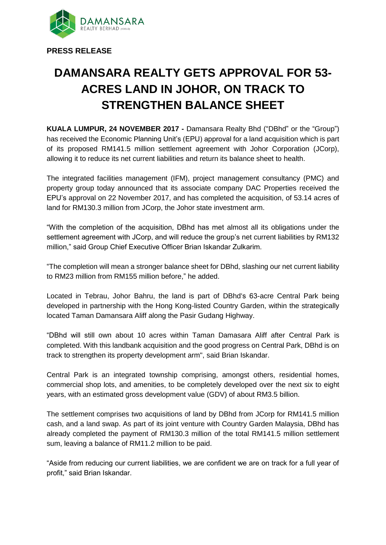

**PRESS RELEASE**

## **DAMANSARA REALTY GETS APPROVAL FOR 53- ACRES LAND IN JOHOR, ON TRACK TO STRENGTHEN BALANCE SHEET**

**KUALA LUMPUR, 24 NOVEMBER 2017 -** Damansara Realty Bhd ("DBhd" or the "Group") has received the Economic Planning Unit's (EPU) approval for a land acquisition which is part of its proposed RM141.5 million settlement agreement with Johor Corporation (JCorp), allowing it to reduce its net current liabilities and return its balance sheet to health.

The integrated facilities management (IFM), project management consultancy (PMC) and property group today announced that its associate company DAC Properties received the EPU's approval on 22 November 2017, and has completed the acquisition, of 53.14 acres of land for RM130.3 million from JCorp, the Johor state investment arm.

"With the completion of the acquisition, DBhd has met almost all its obligations under the settlement agreement with JCorp, and will reduce the group's net current liabilities by RM132 million," said Group Chief Executive Officer Brian Iskandar Zulkarim.

"The completion will mean a stronger balance sheet for DBhd, slashing our net current liability to RM23 million from RM155 million before," he added.

Located in Tebrau, Johor Bahru, the land is part of DBhd's 63-acre Central Park being developed in partnership with the Hong Kong-listed Country Garden, within the strategically located Taman Damansara Aliff along the Pasir Gudang Highway.

"DBhd will still own about 10 acres within Taman Damasara Aliff after Central Park is completed. With this landbank acquisition and the good progress on Central Park, DBhd is on track to strengthen its property development arm", said Brian Iskandar.

Central Park is an integrated township comprising, amongst others, residential homes, commercial shop lots, and amenities, to be completely developed over the next six to eight years, with an estimated gross development value (GDV) of about RM3.5 billion.

The settlement comprises two acquisitions of land by DBhd from JCorp for RM141.5 million cash, and a land swap. As part of its joint venture with Country Garden Malaysia, DBhd has already completed the payment of RM130.3 million of the total RM141.5 million settlement sum, leaving a balance of RM11.2 million to be paid.

"Aside from reducing our current liabilities, we are confident we are on track for a full year of profit," said Brian Iskandar.